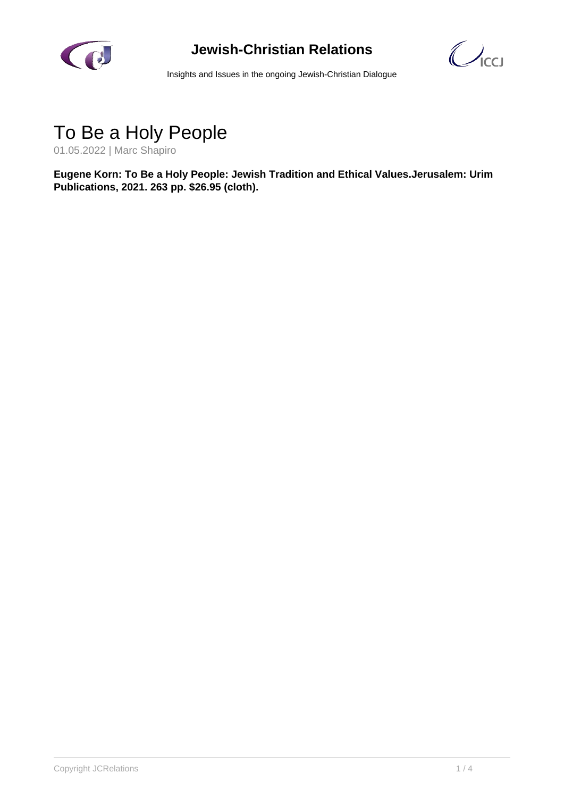

#### **Jewish-Christian Relations**

 $\bigcup_{\mathsf{ICCI}}$ 

Insights and Issues in the ongoing Jewish-Christian Dialogue

### To Be a Holy People

01.05.2022 | Marc Shapiro

**Eugene Korn: To Be a Holy People: Jewish Tradition and Ethical Values.Jerusalem: Urim Publications, 2021. 263 pp. \$26.95 (cloth).**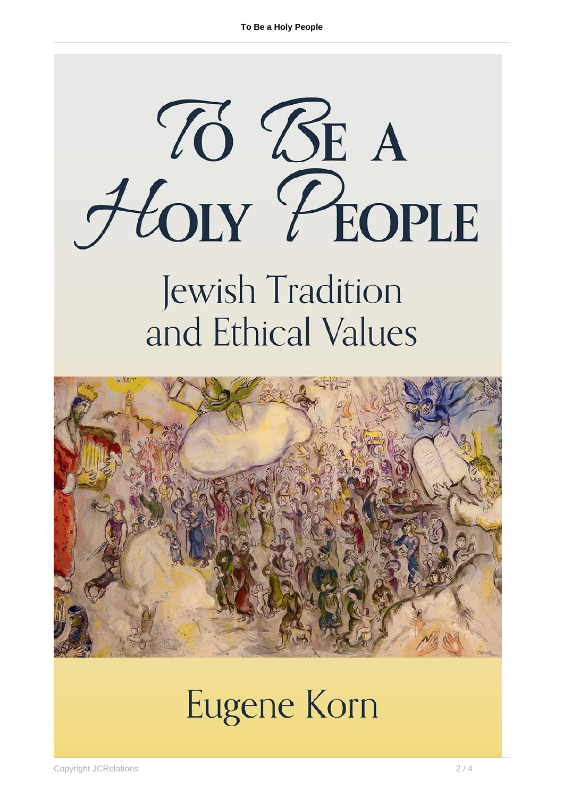# 76 BE A HOLY PEOPLE

## Jewish Tradition and Ethical Values



## **Eugene Korn**

Copyright JCRelations 2 / 4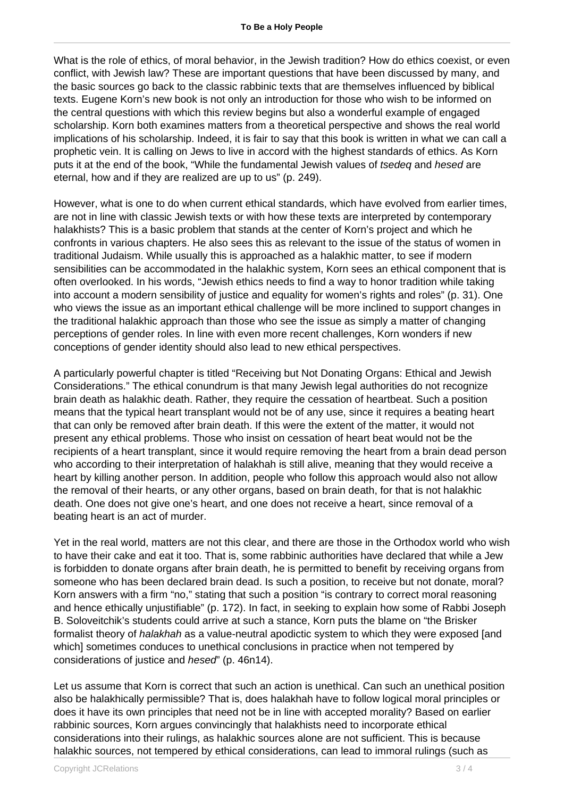What is the role of ethics, of moral behavior, in the Jewish tradition? How do ethics coexist, or even conflict, with Jewish law? These are important questions that have been discussed by many, and the basic sources go back to the classic rabbinic texts that are themselves influenced by biblical texts. Eugene Korn's new book is not only an introduction for those who wish to be informed on the central questions with which this review begins but also a wonderful example of engaged scholarship. Korn both examines matters from a theoretical perspective and shows the real world implications of his scholarship. Indeed, it is fair to say that this book is written in what we can call a prophetic vein. It is calling on Jews to live in accord with the highest standards of ethics. As Korn puts it at the end of the book, "While the fundamental Jewish values of tsedeq and hesed are eternal, how and if they are realized are up to us" (p. 249).

However, what is one to do when current ethical standards, which have evolved from earlier times, are not in line with classic Jewish texts or with how these texts are interpreted by contemporary halakhists? This is a basic problem that stands at the center of Korn's project and which he confronts in various chapters. He also sees this as relevant to the issue of the status of women in traditional Judaism. While usually this is approached as a halakhic matter, to see if modern sensibilities can be accommodated in the halakhic system, Korn sees an ethical component that is often overlooked. In his words, "Jewish ethics needs to find a way to honor tradition while taking into account a modern sensibility of justice and equality for women's rights and roles" (p. 31). One who views the issue as an important ethical challenge will be more inclined to support changes in the traditional halakhic approach than those who see the issue as simply a matter of changing perceptions of gender roles. In line with even more recent challenges, Korn wonders if new conceptions of gender identity should also lead to new ethical perspectives.

A particularly powerful chapter is titled "Receiving but Not Donating Organs: Ethical and Jewish Considerations." The ethical conundrum is that many Jewish legal authorities do not recognize brain death as halakhic death. Rather, they require the cessation of heartbeat. Such a position means that the typical heart transplant would not be of any use, since it requires a beating heart that can only be removed after brain death. If this were the extent of the matter, it would not present any ethical problems. Those who insist on cessation of heart beat would not be the recipients of a heart transplant, since it would require removing the heart from a brain dead person who according to their interpretation of halakhah is still alive, meaning that they would receive a heart by killing another person. In addition, people who follow this approach would also not allow the removal of their hearts, or any other organs, based on brain death, for that is not halakhic death. One does not give one's heart, and one does not receive a heart, since removal of a beating heart is an act of murder.

Yet in the real world, matters are not this clear, and there are those in the Orthodox world who wish to have their cake and eat it too. That is, some rabbinic authorities have declared that while a Jew is forbidden to donate organs after brain death, he is permitted to benefit by receiving organs from someone who has been declared brain dead. Is such a position, to receive but not donate, moral? Korn answers with a firm "no," stating that such a position "is contrary to correct moral reasoning and hence ethically unjustifiable" (p. 172). In fact, in seeking to explain how some of Rabbi Joseph B. Soloveitchik's students could arrive at such a stance, Korn puts the blame on "the Brisker formalist theory of *halakhah* as a value-neutral apodictic system to which they were exposed [and which] sometimes conduces to unethical conclusions in practice when not tempered by considerations of justice and hesed" (p. 46n14).

Let us assume that Korn is correct that such an action is unethical. Can such an unethical position also be halakhically permissible? That is, does halakhah have to follow logical moral principles or does it have its own principles that need not be in line with accepted morality? Based on earlier rabbinic sources, Korn argues convincingly that halakhists need to incorporate ethical considerations into their rulings, as halakhic sources alone are not sufficient. This is because halakhic sources, not tempered by ethical considerations, can lead to immoral rulings (such as